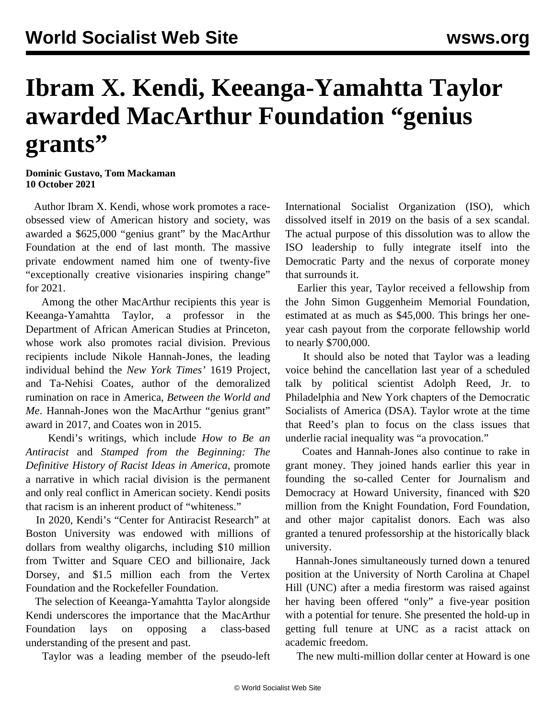## **Ibram X. Kendi, Keeanga-Yamahtta Taylor awarded MacArthur Foundation "genius grants"**

**Dominic Gustavo, Tom Mackaman 10 October 2021**

 Author Ibram X. Kendi, whose work promotes a raceobsessed view of American history and society, was awarded a \$625,000 "genius grant" by the MacArthur Foundation at the end of last month. The massive private endowment named him one of twenty-five "exceptionally creative visionaries inspiring change" for 2021.

 Among the other MacArthur recipients this year is Keeanga-Yamahtta Taylor, a professor in the Department of African American Studies at Princeton, whose work also promotes racial division. Previous recipients include Nikole Hannah-Jones, the leading individual behind the *New York Times'* 1619 Project, and Ta-Nehisi Coates, author of the demoralized rumination on race in America, *Between the World and Me*. Hannah-Jones won the MacArthur "genius grant" award in 2017, and Coates won in 2015.

 Kendi's writings, which include *How to Be an Antiracist* and *Stamped from the Beginning: The Definitive History of Racist Ideas in America*, promote a narrative in which racial division is the permanent and only real conflict in American society. Kendi posits that racism is an inherent product of "whiteness."

 In 2020, Kendi's "Center for Antiracist Research" at Boston University was endowed with millions of dollars from wealthy oligarchs, including \$10 million from Twitter and Square CEO and billionaire, Jack Dorsey, and \$1.5 million each from the Vertex Foundation and the Rockefeller Foundation.

 The selection of Keeanga-Yamahtta Taylor alongside Kendi underscores the importance that the MacArthur Foundation lays on opposing a class-based understanding of the present and past.

Taylor was a leading member of the pseudo-left

International Socialist Organization (ISO), which dissolved itself in 2019 on the basis of a sex scandal. The actual purpose of this dissolution was to allow the ISO leadership to fully integrate itself into the Democratic Party and the nexus of corporate money that surrounds it.

 Earlier this year, Taylor received a fellowship from the John Simon Guggenheim Memorial Foundation, estimated at as much as \$45,000. This brings her oneyear cash payout from the corporate fellowship world to nearly \$700,000.

 It should also be noted that Taylor was a leading voice behind the [cancellation last year](/en/articles/2020/08/18/reed-a18.html) of a scheduled talk by political scientist Adolph Reed, Jr. to Philadelphia and New York chapters of the Democratic Socialists of America (DSA). Taylor wrote at the time that Reed's plan to focus on the class issues that underlie racial inequality was "a provocation."

 Coates and Hannah-Jones also continue to rake in grant money. They [joined hands](/en/articles/2021/07/07/nhjt-j07.html) earlier this year in founding the so-called Center for Journalism and Democracy at Howard University, financed with \$20 million from the Knight Foundation, Ford Foundation, and other major capitalist donors. Each was also granted a tenured professorship at the historically black university.

 Hannah-Jones simultaneously turned down a tenured position at the University of North Carolina at Chapel Hill (UNC) after a media firestorm was raised against her having been offered "only" a five-year position with a potential for tenure. She presented the hold-up in getting full tenure at UNC as a racist attack on academic freedom.

The new multi-million dollar center at Howard is one